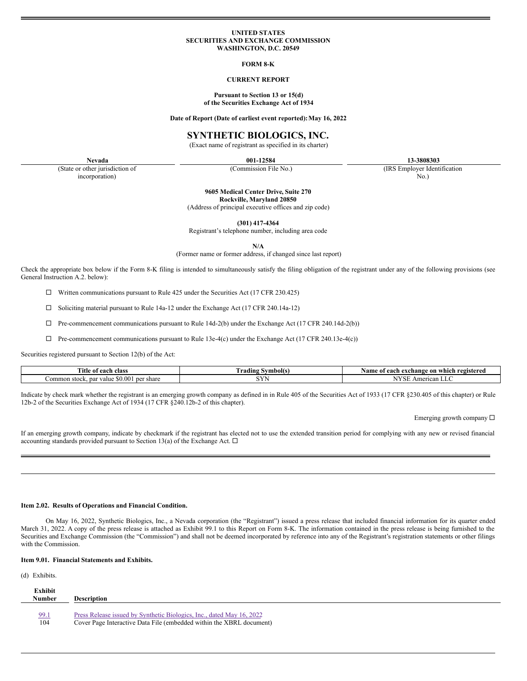#### **UNITED STATES SECURITIES AND EXCHANGE COMMISSION WASHINGTON, D.C. 20549**

### **FORM 8-K**

# **CURRENT REPORT**

## **Pursuant to Section 13 or 15(d) of the Securities Exchange Act of 1934**

**Date of Report (Date of earliest event reported):May 16, 2022**

# **SYNTHETIC BIOLOGICS, INC.**

(Exact name of registrant as specified in its charter)

(State or other jurisdiction of incorporation)

**Nevada 001-12584 13-3808303**

(Commission File No.) (IRS Employer Identification No.)

**9605 Medical Center Drive, Suite 270**

**Rockville, Maryland 20850**

(Address of principal executive offices and zip code)

**(301) 417-4364**

Registrant's telephone number, including area code

**N/A**

(Former name or former address, if changed since last report)

Check the appropriate box below if the Form 8-K filing is intended to simultaneously satisfy the filing obligation of the registrant under any of the following provisions (see General Instruction A.2. below):

 $\Box$  Written communications pursuant to Rule 425 under the Securities Act (17 CFR 230.425)

¨ Soliciting material pursuant to Rule 14a-12 under the Exchange Act (17 CFR 240.14a-12)

 $\Box$  Pre-commencement communications pursuant to Rule 14d-2(b) under the Exchange Act (17 CFR 240.14d-2(b))

 $\Box$  Pre-commencement communications pursuant to Rule 13e-4(c) under the Exchange Act (17 CFR 240.13e-4(c))

Securities registered pursuant to Section 12(b) of the Act:

| <b>Title</b><br>teach class<br>-01                            | radıng<br>! Symbol(s) | registered<br>Name<br>which<br>' each exchange on '<br>Оľ |
|---------------------------------------------------------------|-----------------------|-----------------------------------------------------------|
| \$0.00<br>share<br>value.<br>. ommon<br>ner<br>stock<br>. par | $- - -$               | American LLC<br>. SE -                                    |

Indicate by check mark whether the registrant is an emerging growth company as defined in in Rule 405 of the Securities Act of 1933 (17 CFR §230.405 of this chapter) or Rule 12b-2 of the Securities Exchange Act of 1934 (17 CFR §240.12b-2 of this chapter).

Emerging growth company  $\Box$ 

If an emerging growth company, indicate by checkmark if the registrant has elected not to use the extended transition period for complying with any new or revised financial accounting standards provided pursuant to Section 13(a) of the Exchange Act.  $\Box$ 

# **Item 2.02. Results of Operations and Financial Condition.**

On May 16, 2022, Synthetic Biologics, Inc., a Nevada corporation (the "Registrant") issued a press release that included financial information for its quarter ended March 31, 2022. A copy of the press release is attached as Exhibit 99.1 to this Report on Form 8-K. The information contained in the press release is being furnished to the Securities and Exchange Commission (the "Commission") and shall not be deemed incorporated by reference into any of the Registrant's registration statements or other filings with the Commission.

## **Item 9.01. Financial Statements and Exhibits.**

(d) Exhibits.

| Exhibit       |                                                                       |
|---------------|-----------------------------------------------------------------------|
| <b>Number</b> | <b>Description</b>                                                    |
|               |                                                                       |
| 99.1          | Press Release issued by Synthetic Biologics, Inc., dated May 16, 2022 |
| 104           | Cover Page Interactive Data File (embedded within the XBRL document)  |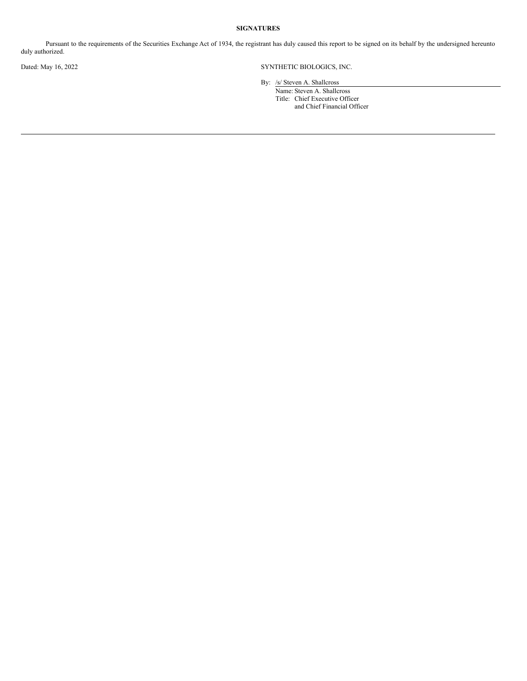# **SIGNATURES**

Pursuant to the requirements of the Securities Exchange Act of 1934, the registrant has duly caused this report to be signed on its behalf by the undersigned hereunto duly authorized.

Dated: May 16, 2022 SYNTHETIC BIOLOGICS, INC.

By: /s/ Steven A. Shallcross

Name: Steven A. Shallcross Title: Chief Executive Officer and Chief Financial Officer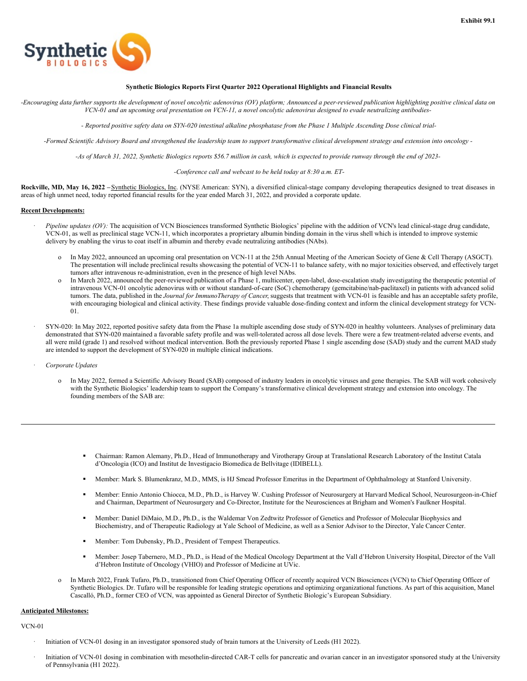

# **Synthetic Biologics Reports First Quarter 2022 Operational Highlights and Financial Results**

-Encouraging data further supports the development of novel oncolytic adenovirus (OV) platform; Announced a peer-reviewed publication highlighting positive clinical data on VCN-01 and an upcoming oral presentation on VCN-11, a novel oncolytic adenovirus designed to evade neutralizing antibodies-

- Reported positive safety data on SYN-020 intestinal alkaline phosphatase from the Phase 1 Multiple Ascending Dose clinical trial-

-Formed Scientific Advisory Board and strengthened the leadership team to support transformative clinical development strategy and extension into oncology -

-As of March 31, 2022, Synthetic Biologics reports \$56.7 million in cash, which is expected to provide runway through the end of 2023-

*-Conference call and webcast to be held today at 8:30 a.m. ET-*

**Rockville, MD, May 16, 2022 –**Synthetic Biologics, Inc. (NYSE American: SYN), a diversified clinical-stage company developing therapeutics designed to treat diseases in areas of high unmet need, today reported financial results for the year ended March 31, 2022, and provided a corporate update.

#### **Recent Developments:**

- · *Pipeline updates (OV):* The acquisition of VCN Biosciences transformed Synthetic Biologics' pipeline with the addition of VCN's lead clinical-stage drug candidate, VCN-01, as well as preclinical stage VCN-11, which incorporates a proprietary albumin binding domain in the virus shell which is intended to improve systemic delivery by enabling the virus to coat itself in albumin and thereby evade neutralizing antibodies (NAbs).
	- o In May 2022, announced an upcoming oral presentation on VCN-11 at the 25th Annual Meeting of the American Society of Gene & Cell Therapy (ASGCT). The presentation will include preclinical results showcasing the potential of VCN-11 to balance safety, with no major toxicities observed, and effectively target tumors after intravenous re-administration, even in the presence of high level NAbs.
	- o In March 2022, announced the peer-reviewed publication of a Phase 1, multicenter, open-label, dose-escalation study investigating the therapeutic potential of intravenous VCN-01 oncolytic adenovirus with or without standard-of-care (SoC) chemotherapy (gemcitabine/nab-paclitaxel) in patients with advanced solid tumors. The data, published in the *Journal for ImmunoTherapy of Cancer*, suggests that treatment with VCN-01 is feasible and has an acceptable safety profile, with encouraging biological and clinical activity. These findings provide valuable dose-finding context and inform the clinical development strategy for VCN-01.
- · SYN-020: In May 2022, reported positive safety data from the Phase 1a multiple ascending dose study of SYN-020 in healthy volunteers. Analyses of preliminary data demonstrated that SYN-020 maintained a favorable safety profile and was well-tolerated across all dose levels. There were a few treatment-related adverse events, and all were mild (grade 1) and resolved without medical intervention. Both the previously reported Phase 1 single ascending dose (SAD) study and the current MAD study are intended to support the development of SYN-020 in multiple clinical indications.
- · *Corporate Updates*
	- o In May 2022, formed a Scientific Advisory Board (SAB) composed of industry leaders in oncolytic viruses and gene therapies. The SAB will work cohesively with the Synthetic Biologics' leadership team to support the Company's transformative clinical development strategy and extension into oncology. The founding members of the SAB are:
		- § Chairman: Ramon Alemany, Ph.D., Head of Immunotherapy and Virotherapy Group at Translational Research Laboratory of the Institut Catala d'Oncologia (ICO) and Institut de Investigacio Biomedica de Bellvitage (IDIBELL).
		- § Member: Mark S. Blumenkranz, M.D., MMS, is HJ Smead Professor Emeritus in the Department of Ophthalmology at Stanford University.
		- § Member: Ennio Antonio Chiocca, M.D., Ph.D., is Harvey W. Cushing Professor of Neurosurgery at Harvard Medical School, Neurosurgeon-in-Chief and Chairman, Department of Neurosurgery and Co-Director, Institute for the Neurosciences at Brigham and Women's Faulkner Hospital.
		- § Member: Daniel DiMaio, M.D., Ph.D., is the Waldemar Von Zedtwitz Professor of Genetics and Professor of Molecular Biophysics and Biochemistry, and of Therapeutic Radiology at Yale School of Medicine, as well as a Senior Advisor to the Director, Yale Cancer Center.
		- § Member: Tom Dubensky, Ph.D., President of Tempest Therapeutics.
		- § Member: Josep Tabernero, M.D., Ph.D., is Head of the Medical Oncology Department at the Vall d'Hebron University Hospital, Director of the Vall d'Hebron Institute of Oncology (VHIO) and Professor of Medicine at UVic.
	- o In March 2022, Frank Tufaro, Ph.D., transitioned from Chief Operating Officer of recently acquired VCN Biosciences (VCN) to Chief Operating Officer of Synthetic Biologics. Dr. Tufaro will be responsible for leading strategic operations and optimizing organizational functions. As part of this acquisition, Manel Cascallό, Ph.D., former CEO of VCN, was appointed as General Director of Synthetic Biologic's European Subsidiary.

## **Anticipated Milestones:**

VCN-01

- · Initiation of VCN-01 dosing in an investigator sponsored study of brain tumors at the University of Leeds (H1 2022).
- · Initiation of VCN-01 dosing in combination with mesothelin-directed CAR-T cells for pancreatic and ovarian cancer in an investigator sponsored study at the University of Pennsylvania (H1 2022).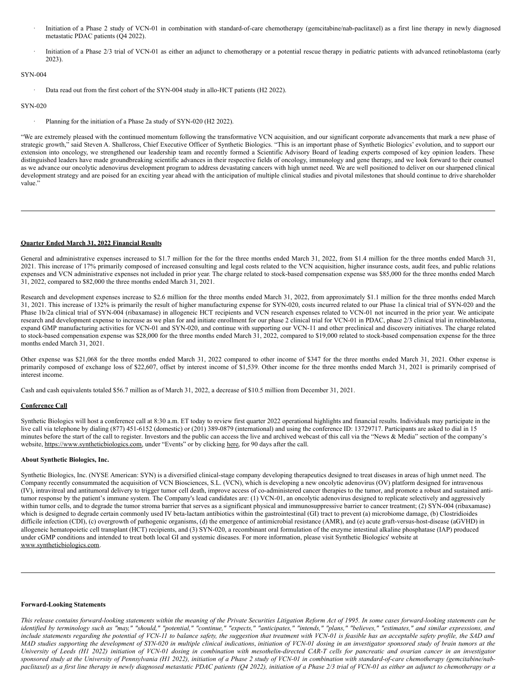- <span id="page-3-0"></span>· Initiation of a Phase 2 study of VCN-01 in combination with standard-of-care chemotherapy (gemcitabine/nab-paclitaxel) as a first line therapy in newly diagnosed metastatic PDAC patients (Q4 2022).
- · Initiation of a Phase 2/3 trial of VCN-01 as either an adjunct to chemotherapy or a potential rescue therapy in pediatric patients with advanced retinoblastoma (early 2023).

# SYN-004

Data read out from the first cohort of the SYN-004 study in allo-HCT patients (H2 2022).

#### SYN-020

Planning for the initiation of a Phase 2a study of SYN-020 (H2 2022).

"We are extremely pleased with the continued momentum following the transformative VCN acquisition, and our significant corporate advancements that mark a new phase of strategic growth," said Steven A. Shallcross, Chief Executive Officer of Synthetic Biologics. "This is an important phase of Synthetic Biologics' evolution, and to support our extension into oncology, we strengthened our leadership team and recently formed a Scientific Advisory Board of leading experts composed of key opinion leaders. These distinguished leaders have made groundbreaking scientific advances in their respective fields of oncology, immunology and gene therapy, and we look forward to their counsel as we advance our oncolytic adenovirus development program to address devastating cancers with high unmet need. We are well positioned to deliver on our sharpened clinical development strategy and are poised for an exciting year ahead with the anticipation of multiple clinical studies and pivotal milestones that should continue to drive shareholder value.'

### **Quarter Ended March 31, 2022 Financial Results**

General and administrative expenses increased to \$1.7 million for the for the three months ended March 31, 2022, from \$1.4 million for the three months ended March 31, 2021. This increase of 17% primarily composed of increased consulting and legal costs related to the VCN acquisition, higher insurance costs, audit fees, and public relations expenses and VCN administrative expenses not included in prior year. The charge related to stock-based compensation expense was \$85,000 for the three months ended March 31, 2022, compared to \$82,000 the three months ended March 31, 2021.

Research and development expenses increase to \$2.6 million for the three months ended March 31, 2022, from approximately \$1.1 million for the three months ended March 31, 2021. This increase of 132% is primarily the result of higher manufacturing expense for SYN-020, costs incurred related to our Phase 1a clinical trial of SYN-020 and the Phase 1b/2a clinical trial of SYN-004 (ribaxamase) in allogeneic HCT recipients and VCN research expenses related to VCN-01 not incurred in the prior year. We anticipate research and development expense to increase as we plan for and initiate enrollment for our phase 2 clinical trial for VCN-01 in PDAC, phase 2/3 clinical trial in retinoblastoma, expand GMP manufacturing activities for VCN-01 and SYN-020, and continue with supporting our VCN-11 and other preclinical and discovery initiatives. The charge related to stock-based compensation expense was \$28,000 for the three months ended March 31, 2022, compared to \$19,000 related to stock-based compensation expense for the three months ended March 31, 2021.

Other expense was \$21,068 for the three months ended March 31, 2022 compared to other income of \$347 for the three months ended March 31, 2021. Other expense is primarily composed of exchange loss of \$22,607, offset by interest income of \$1,539. Other income for the three months ended March 31, 2021 is primarily comprised of interest income.

Cash and cash equivalents totaled \$56.7 million as of March 31, 2022, a decrease of \$10.5 million from December 31, 2021.

# **Conference Call**

Synthetic Biologics will host a conference call at 8:30 a.m. ET today to review first quarter 2022 operational highlights and financial results. Individuals may participate in the live call via telephone by dialing (877) 451-6152 (domestic) or (201) 389-0879 (international) and using the conference ID: 13729717. Participants are asked to dial in 15 minutes before the start of the call to register. Investors and the public can access the live and archived webcast of this call via the "News & Media" section of the company's website, https://www.syntheticbiologics.com, under "Events" or by clicking here, for 90 days after the call.

#### **About Synthetic Biologics, Inc.**

Synthetic Biologics, Inc. (NYSE American: SYN) is a diversified clinical-stage company developing therapeutics designed to treat diseases in areas of high unmet need. The Company recently consummated the acquisition of VCN Biosciences, S.L. (VCN), which is developing a new oncolytic adenovirus (OV) platform designed for intravenous (IV), intravitreal and antitumoral delivery to trigger tumor cell death, improve access of co-administered cancer therapies to the tumor, and promote a robust and sustained antitumor response by the patient's immune system. The Company's lead candidates are: (1) VCN-01, an oncolytic adenovirus designed to replicate selectively and aggressively within tumor cells, and to degrade the tumor stroma barrier that serves as a significant physical and immunosuppressive barrier to cancer treatment; (2) SYN-004 (ribaxamase) which is designed to degrade certain commonly used IV beta-lactam antibiotics within the gastrointestinal (GI) tract to prevent (a) microbiome damage, (b) Clostridioides difficile infection (CDI), (c) overgrowth of pathogenic organisms, (d) the emergence of antimicrobial resistance (AMR), and (e) acute graft-versus-host-disease (aGVHD) in allogeneic hematopoietic cell transplant (HCT) recipients, and (3) SYN-020, a recombinant oral formulation of the enzyme intestinal alkaline phosphatase (IAP) produced under cGMP conditions and intended to treat both local GI and systemic diseases. For more information, please visit Synthetic Biologics' website at www.syntheticbiologics.com.

#### **Forward-Looking Statements**

This release contains forward-looking statements within the meaning of the Private Securities Litigation Reform Act of 1995. In some cases forward-looking statements can be identified by terminology such as "may," "should," "potential," "continue," "expects," "anticipates," "intends," "plans," "believes," "estimates," and similar expressions, and include statements regarding the potential of VCN-11 to balance safety, the suggestion that treatment with VCN-01 is feasible has an acceptable safety profile, the SAD and MAD studies supporting the development of SYN-020 in multiple clinical indications, initiation of VCN-01 dosing in an investigator sponsored study of brain tumors at the University of Leeds (H1 2022) initiation of VCN-01 dosing in combination with mesothelin-directed CAR-T cells for pancreatic and ovarian cancer in an investigator sponsored study at the University of Pennsylvania (H1 2022), initiation of a Phase 2 study of VCN-01 in combination with standard-of-care chemotherapy (gemcitabine/nabpaclitaxel) as a first line therapy in newly diagnosed metastatic PDAC patients (Q4 2022), initiation of a Phase 2/3 trial of VCN-01 as either an adjunct to chemotherapy or a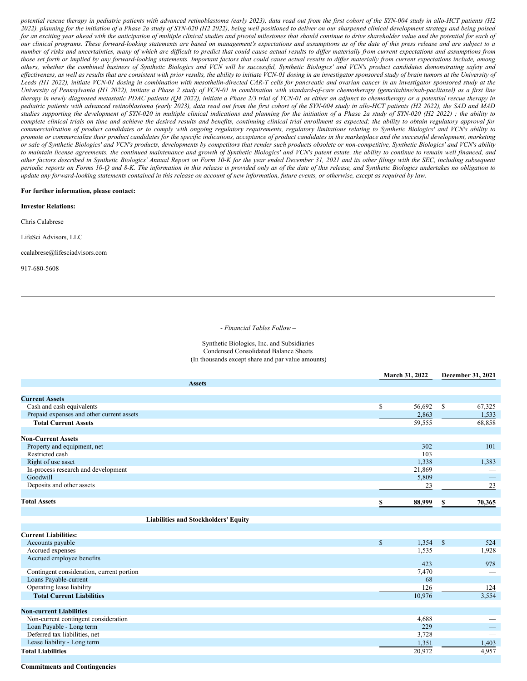potential rescue therapy in pediatric patients with advanced retinoblastoma (early 2023), data read out from the first cohort of the SYN-004 study in allo-HCT patients (H2 2022), planning for the initiation of a Phase 2a study of SYN-020 (H2 2022), being well positioned to deliver on our sharpened clinical development strategy and being poised for an exciting year ahead with the anticipation of multiple clinical studies and pivotal milestones that should continue to drive shareholder value and the potential for each of our clinical programs. These forward-looking statements are based on management's expectations and assumptions as of the date of this press release and are subject to a number of risks and uncertainties, many of which are difficult to predict that could cause actual results to differ materially from current expectations and assumptions from those set forth or implied by any forward-looking statements. Important factors that could cause actual results to differ materially from current expectations include, among others, whether the combined business of Synthetic Biologics and VCN will be successful, Synthetic Biologics' and VCN's product candidates demonstrating safety and effectiveness, as well as results that are consistent with prior results, the ability to initiate VCN-01 dosing in an investigator sponsored study of brain tumors at the University of Leeds (H1 2022), initiate VCN-01 dosing in combination with mesothelin-directed CAR-T cells for pancreatic and ovarian cancer in an investigator sponsored study at the University of Pennsylvania (H1 2022), initiate a Phase 2 study of VCN-01 in combination with standard-of-care chemotherapy (gemcitabine/nab-paclitaxel) as a first line therapy in newly diagnosed metastatic PDAC patients (Q4 2022), initiate a Phase 2/3 trial of VCN-01 as either an adjunct to chemotherapy or a potential rescue therapy in pediatric patients with advanced retinoblastoma (early 2023), data read out from the first cohort of the SYN-004 study in allo-HCT patients (H2 2022), the SAD and MAD studies supporting the development of SYN-020 in multiple clinical indications and planning for the initiation of a Phase 2a study of SYN-020 (H2 2022) ; the ability to complete clinical trials on time and achieve the desired results and benefits, continuing clinical trial enrollment as expected; the ability to obtain regulatory approval for commercialization of product candidates or to comply with ongoing regulatory requirements, regulatory limitations relating to Synthetic Biologics' and VCN's ability to promote or commercialize their product candidates for the specific indications, acceptance of product candidates in the marketplace and the successful development, marketing or sale of Synthetic Biologics' and VCN's products, developments by competitors that render such products obsolete or non-competitive, Synthetic Biologics' and VCN's ability to maintain license agreements, the continued maintenance and growth of Synthetic Biologics' and VCN's patent estate, the ability to continue to remain well financed, and other factors described in Synthetic Biologics' Annual Report on Form 10-K for the year ended December 31, 2021 and its other filings with the SEC, including subsequent periodic reports on Forms 10-Q and 8-K. The information in this release is provided only as of the date of this release, and Synthetic Biologics undertakes no obligation to update any forward-looking statements contained in this release on account of new information, future events, or otherwise, except as required by law.

#### **For further information, please contact:**

**Investor Relations:**

Chris Calabrese

LifeSci Advisors, LLC

ccalabrese@lifesciadvisors.com

917-680-5608

#### *- Financial Tables Follow –*

Synthetic Biologics, Inc. and Subsidiaries Condensed Consolidated Balance Sheets (In thousands except share and par value amounts)

|                                                | March 31, 2022         | December 31, 2021               |  |
|------------------------------------------------|------------------------|---------------------------------|--|
| <b>Assets</b>                                  |                        |                                 |  |
|                                                |                        |                                 |  |
| <b>Current Assets</b>                          |                        |                                 |  |
| Cash and cash equivalents                      | $\mathbb{S}$<br>56,692 | \$<br>67,325                    |  |
| Prepaid expenses and other current assets      | 2,863                  | 1,533                           |  |
| <b>Total Current Assets</b>                    | 59,555                 | 68,858                          |  |
| <b>Non-Current Assets</b>                      |                        |                                 |  |
|                                                | 302                    | 101                             |  |
| Property and equipment, net<br>Restricted cash | 103                    |                                 |  |
| Right of use asset                             | 1,338                  | 1,383                           |  |
| In-process research and development            | 21,869                 |                                 |  |
| Goodwill                                       | 5,809                  | $\hspace{0.1mm}-\hspace{0.1mm}$ |  |
| Deposits and other assets                      | 23                     | 23                              |  |
|                                                |                        |                                 |  |
| <b>Total Assets</b>                            | 88,999                 | 70,365<br>S                     |  |
|                                                |                        |                                 |  |
| <b>Liabilities and Stockholders' Equity</b>    |                        |                                 |  |
| <b>Current Liabilities:</b>                    |                        |                                 |  |
|                                                |                        |                                 |  |
| Accounts payable                               | $\mathbb{S}$<br>1,354  | $\mathbb{S}$<br>524             |  |
| Accrued expenses<br>Accrued employee benefits  | 1,535                  | 1,928                           |  |
|                                                | 423                    | 978                             |  |
| Contingent consideration, current portion      | 7,470                  |                                 |  |
| Loans Payable-current                          | 68                     |                                 |  |
| Operating lease liability                      | 126                    | 124                             |  |
| <b>Total Current Liabilities</b>               | 10.976                 | 3,554                           |  |
|                                                |                        |                                 |  |
| <b>Non-current Liabilities</b>                 |                        |                                 |  |
| Non-current contingent consideration           | 4,688                  |                                 |  |
| Loan Payable - Long term                       | 229                    |                                 |  |
| Deferred tax liabilities, net                  | 3,728                  |                                 |  |
| Lease liability - Long term                    | 1,351                  | 1,403                           |  |
| <b>Total Liabilities</b>                       | 20,972                 | 4,957                           |  |
|                                                |                        |                                 |  |

## **Commitments and Contingencies**